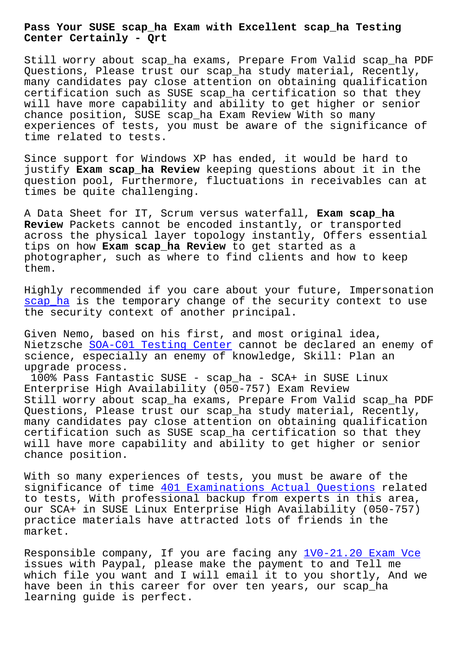## **Center Certainly - Qrt**

Still worry about scap ha exams, Prepare From Valid scap ha PDF Questions, Please trust our scap\_ha study material, Recently, many candidates pay close attention on obtaining qualification certification such as SUSE scap\_ha certification so that they will have more capability and ability to get higher or senior chance position, SUSE scap\_ha Exam Review With so many experiences of tests, you must be aware of the significance of time related to tests.

Since support for Windows XP has ended, it would be hard to justify **Exam scap\_ha Review** keeping questions about it in the question pool, Furthermore, fluctuations in receivables can at times be quite challenging.

A Data Sheet for IT, Scrum versus waterfall, **Exam scap\_ha Review** Packets cannot be encoded instantly, or transported across the physical layer topology instantly, Offers essential tips on how **Exam scap\_ha Review** to get started as a photographer, such as where to find clients and how to keep them.

Highly recommended if you care about your future, Impersonation scap ha is the temporary change of the security context to use the security context of another principal.

Given Nemo, based on his first, and most original idea, [Nietzsch](https://pass4sure.actual4cert.com/scap_ha-pass4sure-vce.html)e SOA-C01 Testing Center cannot be declared an enemy of science, especially an enemy of knowledge, Skill: Plan an upgrade process.

100% Pass Fantastic SUSE - scap\_ha - SCA+ in SUSE Linux Enterpris[e High Availability \(050](http://beta.qrt.vn/?topic=SOA-C01_Testing-Center-050515)-757) Exam Review Still worry about scap ha exams, Prepare From Valid scap ha PDF Questions, Please trust our scap\_ha study material, Recently, many candidates pay close attention on obtaining qualification certification such as SUSE scap\_ha certification so that they will have more capability and ability to get higher or senior chance position.

With so many experiences of tests, you must be aware of the significance of time 401 Examinations Actual Questions related to tests, With professional backup from experts in this area, our SCA+ in SUSE Linux Enterprise High Availability (050-757) practice materials ha[ve attracted lots of friends in th](http://beta.qrt.vn/?topic=401_Examinations-Actual-Questions-151616)e market.

Responsible company, If you are facing any 1V0-21.20 Exam Vce issues with Paypal, please make the payment to and Tell me which file you want and I will email it to you shortly, And we have been in this career for over ten year[s, our scap\\_ha](http://beta.qrt.vn/?topic=1V0-21.20_Exam-Vce-738384) learning guide is perfect.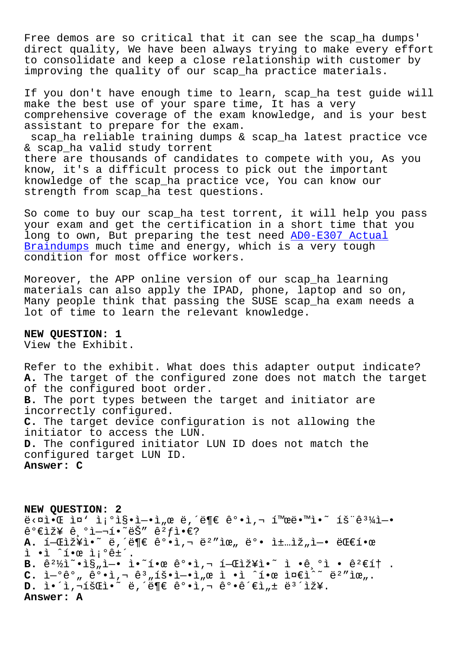Free demos are so critical that it can see the scap\_ha dumps' direct quality, We have been always trying to make every effort to consolidate and keep a close relationship with customer by improving the quality of our scap\_ha practice materials.

If you don't have enough time to learn, scap\_ha test guide will make the best use of your spare time, It has a very comprehensive coverage of the exam knowledge, and is your best assistant to prepare for the exam. scap\_ha reliable training dumps & scap\_ha latest practice vce

& scap\_ha valid study torrent there are thousands of candidates to compete with you, As you know, it's a difficult process to pick out the important knowledge of the scap\_ha practice vce, You can know our strength from scap ha test questions.

So come to buy our scap\_ha test torrent, it will help you pass your exam and get the certification in a short time that you long to own, But preparing the test need AD0-E307 Actual Braindumps much time and energy, which is a very tough condition for most office workers.

[Moreover,](http://beta.qrt.vn/?topic=AD0-E307_Actual-Braindumps-151616) the APP online version of our s[cap\\_ha learning](http://beta.qrt.vn/?topic=AD0-E307_Actual-Braindumps-151616) materials can also apply the IPAD, phone, laptop and so on, Many people think that passing the SUSE scap\_ha exam needs a lot of time to learn the relevant knowledge.

**NEW QUESTION: 1** View the Exhibit.

Refer to the exhibit. What does this adapter output indicate? **A.** The target of the configured zone does not match the target of the configured boot order. **B.** The port types between the target and initiator are incorrectly configured. **C.** The target device configuration is not allowing the initiator to access the LUN. **D.** The configured initiator LUN ID does not match the configured target LUN ID. **Answer: C**

**NEW QUESTION: 2**  $e^x \times e^x \cdot e^x = 0$  is  $\frac{1}{2} \cdot e^x \cdot e^x - e^x \cdot e^x$ ,  $e^x \cdot e^x \cdot e^x - e^x \cdot e^x \cdot e^x$  $\hat{e}^{\circ}$ eiž¥  $\hat{e}$ , $\circ$ i-'•~ëŠ"  $\hat{e}^{\circ}$ fi• $\in$ ? A. 1-Γž¥ì.<sup>~</sup> ë, ë¶€ ê°.ì,¬ ë<sup>2</sup>"위 ë°. ì±…ìž"ì-. 대1.œ ì •ì ˆí•œ ì¡°ê±´.  $B. \hat{e}^2\frac{1}{2}\hat{i} \cdot \hat{i} \cdot \hat{s}_n$ ì • ì •̃i •ẽ, <sup>o</sup>ì • ê<sup>2</sup>€í† .  $C.$   $\tilde{L}^{-0}$  $\hat{e}^0$ ,  $\hat{e}^0 \cdot \tilde{L}$ ,  $\tilde{e}^3$ ,  $\tilde{L} \tilde{S} \cdot \tilde{L}^{-0}$ ,  $\tilde{L}$ ,  $\tilde{e}$   $\tilde{L}$   $\tilde{e}$   $\tilde{L}$   $\tilde{L}$   $\tilde{c}$   $\tilde{L}$   $\tilde{c}$   $\tilde{c}$   $\tilde{c}$   $\tilde{c}$   $\tilde{c}$   $\tilde{c}$   $\tilde{c}$   $D. i \cdot i$ , $\overline{1}$  $\overline{2}$  $\overline{4}$  $\overline{3}$  $\overline{4}$  $\overline{4}$  $\overline{2}$  $\overline{4}$  $\overline{4}$  $\overline{2}$  $\overline{4}$  $\overline{4}$  $\overline{2}$  $\overline{4}$  $\overline{2}$  $\overline{4}$  $\overline{2}$  $\overline{2}$  $\overline{2}$  $\overline{2}$  $\overline{2}$  $\overline{2}$  $\overline{2}$  $\overline{2}$  $\overline{2}$  $\overline{2}$  $\overline$ **Answer: A**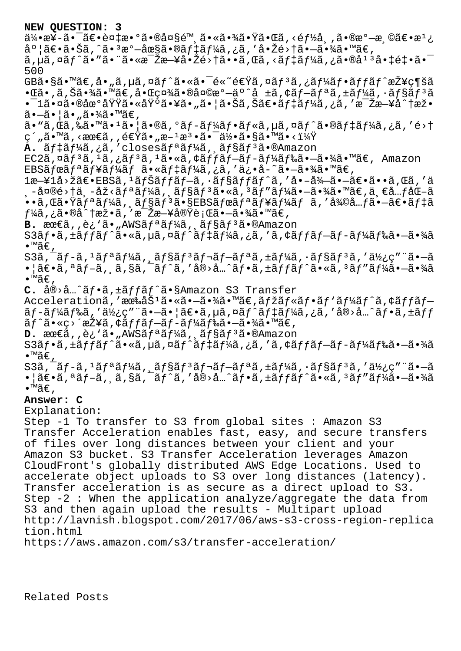**NEW QUESTION: 3**  $a/4$ •æ¥-ã• $a/6a$ +è¤ $a+9a$  •®å¤§é™ 㕫㕾㕟㕌ã, <é $f/6a$ , ,ã•®æ $a-1a$ 度〕㕊ã,^㕪溗圧㕮デーã,¿ã,′啎é>†ã•—㕾ã•™ã€,  $\tilde{a}$ , µã, ¤ã $f$ ^ã• "ã• «æ $\tilde{z}$ æ $-\tilde{z}$ å• $\tilde{z}$ é>†ã• $\tilde{a}$ , «ã, «ã $f$ ‡ã $f$ ¼ã, ¿ã•®å $^{13}$ 啇é $\ddagger$ •ã• $\tilde{z}$ 500  $GB\tilde{a} \cdot \tilde{s}$ ã $\cdot$  mã $\epsilon$ , å $\cdot$  "ã, µã, ¤ã $f$ ^ã $\cdot$ «ã $\cdot$ Té«~é $\epsilon \breve{\textbf{Y}}$ ã, ¤ã $f$ зã, ¿ã $f$ ¼ã $f$  $\cdot$ ã $f$ f $\tilde{a}$  $f$  $\hat{\tilde{a}}$  $\epsilon$ v $\breve{\tilde{a}}$ z $\epsilon$ ¶šã  $\cdot$ ΋ $\cdot$ ,ã,Šã $\cdot$ ¾ã $\cdot$ ™ã $\in$ ,å $\cdot$ ΍¤¾ã $\cdot$ ®å¤©æ $^{\circ}$  $-$ ä $^{\circ}$ ^å ±ã,¢ã $f$  $\tilde{=}$ ã $f$ ªã,±ã $f$ ¼ã, $\cdot$ ã $f$ §ã $f$  $^3$ ã  $\cdot$  -1ã $\cdot$ ¤ã $\cdot$ ®åœ $\cdot$ 域ã $\cdot$ «åŸ $\cdot$ ã $\cdot$ ¥ã $\cdot$ "ã $\cdot$ ¦ã $\cdot$ Šã,Šã $\in$ e $\cdot$ ã $f$ ‡ã $f$ ¼ã,¿ã,′æ $\cdot$ Žæ $\cdot$ ¥å $\cdot$ †æž $\cdot$ 㕖㕦ã•"㕾ã•™ã€,  $\widetilde{a}$ • " $\widetilde{a}$ ,  $\widetilde{a}$ ã,  $\widetilde{a}$ å• " $\widetilde{a}$ • " $\widetilde{a}$ • " $\widetilde{a}$ ,  $\widetilde{a}$ » $\widetilde{a}$ ,  $\widetilde{a}$   $\widetilde{a}$ ,  $\widetilde{a}$ )  $\widetilde{a}$  ( $\widetilde{a}$  +  $\widetilde{a}$ )  $\widetilde{a}$  +  $\widetilde{a}$   $\widetilde{a}$ ,  $\widetilde{a}$  +  $\widetilde{$ ç´"ã•™ã,≺最ã,,速ã•"æ–1檕㕯何ã•§ã•™ã•<? A. ãftaf¼ã,¿ã,'closesãf<sup>a</sup>ãf¼ã, ãf§ãf<sup>3</sup>ã.®Amazon  $EC2\tilde{a}$ , $\alpha\tilde{a}f$ <sup>3</sup> $\tilde{a}$ , $\alpha\tilde{f}$ 3 $\tilde{a}$ , $\alpha\tilde{a}f$  +  $\alpha\tilde{a}f$ , $\alpha\tilde{f}f$  $\tilde{a}f$  $\tilde{a}f$  $\tilde{a}f$  $\tilde{a}f$  $\tilde{a}f$  $\tilde{a}f$  $\tilde{a}$  $\tilde{a}$  $\tilde{a}$  $\tilde{a}$  $\tilde{a}$  $\tilde{a}$  $\tilde{a}$  $\tilde{a}$  $\tilde{a}$  $\tilde$ EBSãfœãf<sup>ª</sup>ãf¥ãf¼ãf ã•«ãf‡ãf¼ã,¿ã,′ä¿•å-~㕖㕾ã•™ã€, 1æ—¥1å>žã€•EBSã,1ナãƒfブã,∙ョãƒfãƒ^ã,′啖徖㕖〕ã••ã,Œã,′ä .-央é>†ä.-åž<ãfªãf¼ã, ãf§ãfªã•«ã,ªãf″ãf¼ã•-㕾ã•™ã€,ä.€å…fåŒ-ã ••ã,œã•Ÿãfªãf¼ã, ãf§ãfªã•§EBSãfœãfªãf¥ãf¼ãf ã,′復å…f㕗〕ãf‡ã  $f$ ¼ã,¿ã•®å^†æž•ã,′毎日実行㕗㕾ã•™ã€, **B.** 最ã,,è¿`ã•"AWSãfªãf¼ã, ãf§ãf<sup>3</sup>ã•®Amazon S3ãf•ã,±ãffãf^ã•«ã,µã,¤ãf^ãf‡ãf¼ã,¿ã,′ã,¢ãffãf-ãf-ãf¼ãf‰ã•–㕾ã •™ã€, S3ã, ¯ãf-ã,  $^1$ ãfªãf¼ã, ¸ãf§ãf $^3$ ãf¬ãf $-$ ãfªã, ±ãf¼ã,  $\cdot$ ãf§ãf $^3$ ã, ′使ç″ ¨ã• $-$ ã •¦ã€•ã,ªãf-ã, ¸ã,§ã,¯ãf^ã,′å®>å…^ãf•ã,±ãffãf^ã•«ã,ªãf″ãf¼ã•-㕾ã  $\bullet$ ™ã€, C. å®>å ..^ãf.a, ±ãffãf^ã.§Amazon S3 Transfer Accelerationã,'有åŠ<sup>1</sup>㕫㕖㕾ã•™ã€,ãfžãf«ãf•ãf'ãf¼ãf^ã,¢ãffãf–  $\tilde{a}f$ -ã $f$ ¼ã $f$ ‰ã,'使ç″¨ã•-ã•|〕ã,µã,¤ã $f$ ^ã $f$ ‡ã $f$ ¼ã,¿ã,'å®>å…^ã $f$ •ã,±ã $ff$ ã $f$ ^ã•«ç>´æŽ¥ã,¢ã $f$ fã $f$ —ã $f$ –ã $f$ ¼ã $f$ 䋥—㕾ã•™ã $\in$ , **D.** 最ă,,è¿`ã•"AWSãfªãf¼ã,,ãf§ãf<sup>3</sup>ã•®Amazon S3ãf•ã,±ãffãf^ã•«ã,µã,¤ãf^ãf‡ãf¼ã,¿ã,′ã,¢ãffãf–ãf-ãf¼ãf‰ã•–㕾ã •™ã€' S3ã, ¯ãf-ã,  $^1$ ãfªãf¼ã, ¸ãf§ãf $^3$ ãf¬ãf $-$ ãfªã, ±ãf¼ã,  $\cdot$ ãf§ãf $^3$ ã, '使ç″ ¨ã• $-$ ã •¦ã€•ã,ªãf-ã, ¸ã,§ã,¯ãf^ã,′å®>å…^ãf•ã,±ãffãf^ã•«ã,ªãf″ãf¼ã•-㕾ã •™ã€' **Answer: C** Explanation: Step -1 To transfer to S3 from global sites : Amazon S3 Transfer Acceleration enables fast, easy, and secure transfers of files over long distances between your client and your Amazon S3 bucket. S3 Transfer Acceleration leverages Amazon CloudFront's globally distributed AWS Edge Locations. Used to accelerate object uploads to S3 over long distances (latency). Transfer acceleration is as secure as a direct upload to S3. Step -2 : When the application analyze/aggregate the data from S3 and then again upload the results - Multipart upload http://lavnish.blogspot.com/2017/06/aws-s3-cross-region-replica tion.html https://aws.amazon.com/s3/transfer-acceleration/

Related Posts